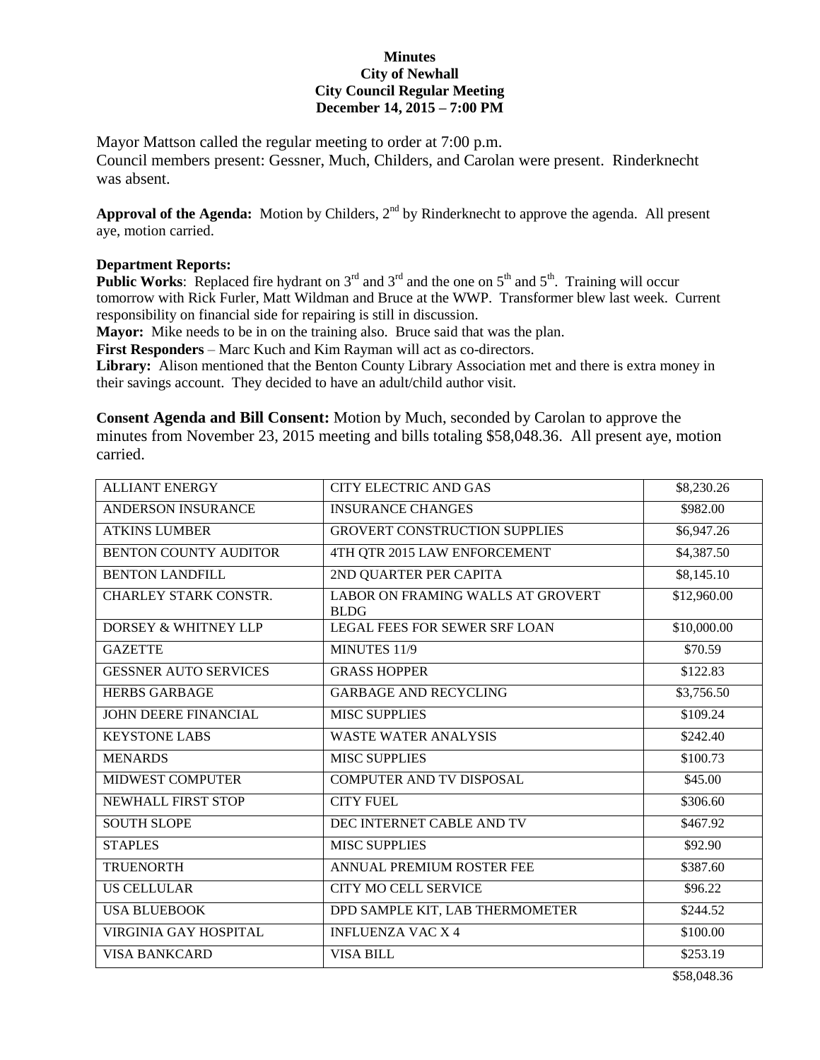## **Minutes City of Newhall City Council Regular Meeting December 14, 2015 – 7:00 PM**

Mayor Mattson called the regular meeting to order at 7:00 p.m. Council members present: Gessner, Much, Childers, and Carolan were present. Rinderknecht was absent.

Approval of the Agenda: Motion by Childers, 2<sup>nd</sup> by Rinderknecht to approve the agenda. All present aye, motion carried.

## **Department Reports:**

**Public Works:** Replaced fire hydrant on  $3^{rd}$  and  $3^{rd}$  and the one on  $5^{th}$  and  $5^{th}$ . Training will occur tomorrow with Rick Furler, Matt Wildman and Bruce at the WWP. Transformer blew last week. Current responsibility on financial side for repairing is still in discussion.

**Mayor:** Mike needs to be in on the training also. Bruce said that was the plan.

**First Responders** – Marc Kuch and Kim Rayman will act as co-directors.

**Library:** Alison mentioned that the Benton County Library Association met and there is extra money in their savings account. They decided to have an adult/child author visit.

**Consent Agenda and Bill Consent:** Motion by Much, seconded by Carolan to approve the minutes from November 23, 2015 meeting and bills totaling \$58,048.36. All present aye, motion carried.

| <b>ALLIANT ENERGY</b>           | <b>CITY ELECTRIC AND GAS</b>                            | \$8,230.26  |
|---------------------------------|---------------------------------------------------------|-------------|
| <b>ANDERSON INSURANCE</b>       | <b>INSURANCE CHANGES</b>                                | \$982.00    |
| <b>ATKINS LUMBER</b>            | <b>GROVERT CONSTRUCTION SUPPLIES</b>                    | \$6,947.26  |
| <b>BENTON COUNTY AUDITOR</b>    | 4TH QTR 2015 LAW ENFORCEMENT                            | \$4,387.50  |
| <b>BENTON LANDFILL</b>          | 2ND QUARTER PER CAPITA                                  | \$8,145.10  |
| <b>CHARLEY STARK CONSTR.</b>    | <b>LABOR ON FRAMING WALLS AT GROVERT</b><br><b>BLDG</b> | \$12,960.00 |
| <b>DORSEY &amp; WHITNEY LLP</b> | <b>LEGAL FEES FOR SEWER SRF LOAN</b>                    | \$10,000.00 |
| <b>GAZETTE</b>                  | MINUTES 11/9                                            | \$70.59     |
| <b>GESSNER AUTO SERVICES</b>    | <b>GRASS HOPPER</b>                                     | \$122.83    |
| <b>HERBS GARBAGE</b>            | <b>GARBAGE AND RECYCLING</b>                            | \$3,756.50  |
| <b>JOHN DEERE FINANCIAL</b>     | <b>MISC SUPPLIES</b>                                    | \$109.24    |
| <b>KEYSTONE LABS</b>            | <b>WASTE WATER ANALYSIS</b>                             | \$242.40    |
| <b>MENARDS</b>                  | <b>MISC SUPPLIES</b>                                    | \$100.73    |
| <b>MIDWEST COMPUTER</b>         | <b>COMPUTER AND TV DISPOSAL</b>                         | \$45.00     |
| NEWHALL FIRST STOP              | <b>CITY FUEL</b>                                        | \$306.60    |
| <b>SOUTH SLOPE</b>              | DEC INTERNET CABLE AND TV                               | \$467.92    |
| <b>STAPLES</b>                  | <b>MISC SUPPLIES</b>                                    | \$92.90     |
| <b>TRUENORTH</b>                | ANNUAL PREMIUM ROSTER FEE                               | \$387.60    |
| <b>US CELLULAR</b>              | <b>CITY MO CELL SERVICE</b>                             | \$96.22     |
| <b>USA BLUEBOOK</b>             | DPD SAMPLE KIT, LAB THERMOMETER                         | \$244.52    |
| VIRGINIA GAY HOSPITAL           | <b>INFLUENZA VAC X 4</b>                                | \$100.00    |
| <b>VISA BANKCARD</b>            | <b>VISA BILL</b>                                        | \$253.19    |

\$58,048.36